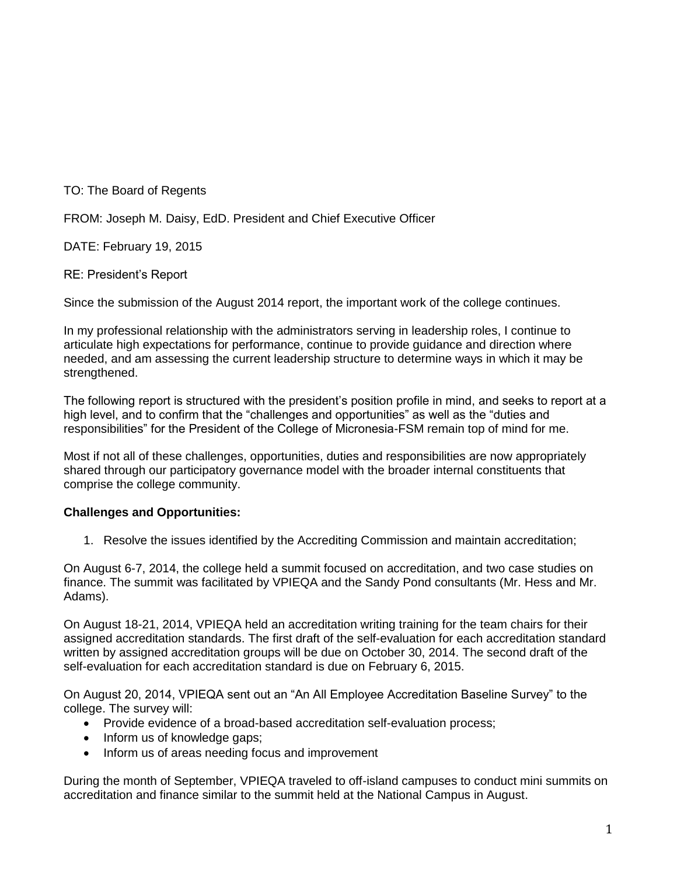TO: The Board of Regents

FROM: Joseph M. Daisy, EdD. President and Chief Executive Officer

DATE: February 19, 2015

RE: President's Report

Since the submission of the August 2014 report, the important work of the college continues.

In my professional relationship with the administrators serving in leadership roles, I continue to articulate high expectations for performance, continue to provide guidance and direction where needed, and am assessing the current leadership structure to determine ways in which it may be strengthened.

The following report is structured with the president's position profile in mind, and seeks to report at a high level, and to confirm that the "challenges and opportunities" as well as the "duties and responsibilities" for the President of the College of Micronesia-FSM remain top of mind for me.

Most if not all of these challenges, opportunities, duties and responsibilities are now appropriately shared through our participatory governance model with the broader internal constituents that comprise the college community.

## **Challenges and Opportunities:**

1. Resolve the issues identified by the Accrediting Commission and maintain accreditation;

On August 6-7, 2014, the college held a summit focused on accreditation, and two case studies on finance. The summit was facilitated by VPIEQA and the Sandy Pond consultants (Mr. Hess and Mr. Adams).

On August 18-21, 2014, VPIEQA held an accreditation writing training for the team chairs for their assigned accreditation standards. The first draft of the self-evaluation for each accreditation standard written by assigned accreditation groups will be due on October 30, 2014. The second draft of the self-evaluation for each accreditation standard is due on February 6, 2015.

On August 20, 2014, VPIEQA sent out an "An All Employee Accreditation Baseline Survey" to the college. The survey will:

- Provide evidence of a broad-based accreditation self-evaluation process;
- Inform us of knowledge gaps;
- Inform us of areas needing focus and improvement

During the month of September, VPIEQA traveled to off-island campuses to conduct mini summits on accreditation and finance similar to the summit held at the National Campus in August.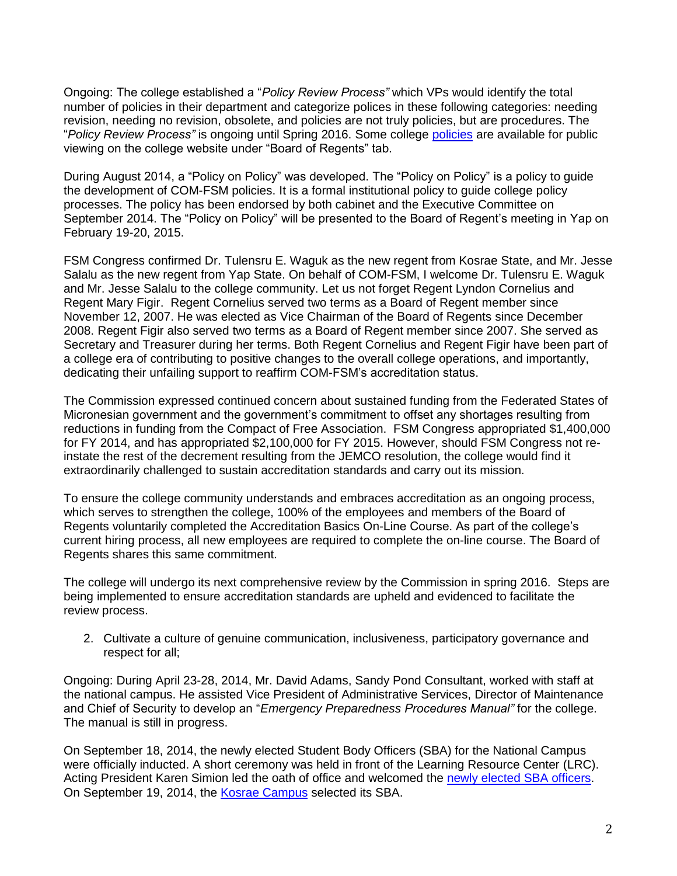Ongoing: The college established a "*Policy Review Process"* which VPs would identify the total number of policies in their department and categorize polices in these following categories: needing revision, needing no revision, obsolete, and policies are not truly policies, but are procedures. The "*Policy Review Process"* is ongoing until Spring 2016. Some college [policies](http://www.comfsm.fm/?q=board-policies) are available for public viewing on the college website under "Board of Regents" tab.

During August 2014, a "Policy on Policy" was developed. The "Policy on Policy" is a policy to guide the development of COM-FSM policies. It is a formal institutional policy to guide college policy processes. The policy has been endorsed by both cabinet and the Executive Committee on September 2014. The "Policy on Policy" will be presented to the Board of Regent's meeting in Yap on February 19-20, 2015.

FSM Congress confirmed Dr. Tulensru E. Waguk as the new regent from Kosrae State, and Mr. Jesse Salalu as the new regent from Yap State. On behalf of COM-FSM, I welcome Dr. Tulensru E. Waguk and Mr. Jesse Salalu to the college community. Let us not forget Regent Lyndon Cornelius and Regent Mary Figir. Regent Cornelius served two terms as a Board of Regent member since November 12, 2007. He was elected as Vice Chairman of the Board of Regents since December 2008. Regent Figir also served two terms as a Board of Regent member since 2007. She served as Secretary and Treasurer during her terms. Both Regent Cornelius and Regent Figir have been part of a college era of contributing to positive changes to the overall college operations, and importantly, dedicating their unfailing support to reaffirm COM-FSM's accreditation status.

The Commission expressed continued concern about sustained funding from the Federated States of Micronesian government and the government's commitment to offset any shortages resulting from reductions in funding from the Compact of Free Association. FSM Congress appropriated \$1,400,000 for FY 2014, and has appropriated \$2,100,000 for FY 2015. However, should FSM Congress not reinstate the rest of the decrement resulting from the JEMCO resolution, the college would find it extraordinarily challenged to sustain accreditation standards and carry out its mission.

To ensure the college community understands and embraces accreditation as an ongoing process, which serves to strengthen the college, 100% of the employees and members of the Board of Regents voluntarily completed the Accreditation Basics On-Line Course. As part of the college's current hiring process, all new employees are required to complete the on-line course. The Board of Regents shares this same commitment.

The college will undergo its next comprehensive review by the Commission in spring 2016. Steps are being implemented to ensure accreditation standards are upheld and evidenced to facilitate the review process.

2. Cultivate a culture of genuine communication, inclusiveness, participatory governance and respect for all;

Ongoing: During April 23-28, 2014, Mr. David Adams, Sandy Pond Consultant, worked with staff at the national campus. He assisted Vice President of Administrative Services, Director of Maintenance and Chief of Security to develop an "*Emergency Preparedness Procedures Manual"* for the college. The manual is still in progress.

On September 18, 2014, the newly elected Student Body Officers (SBA) for the National Campus were officially inducted. A short ceremony was held in front of the Learning Resource Center (LRC). Acting President Karen Simion led the oath of office and welcomed the [newly elected SBA officers.](http://www.comfsm.fm/myShark/news/item=1040/mod=03:08:45) On September 19, 2014, the [Kosrae Campus](http://www.comfsm.fm/myShark/news/item=1052/mod=20:40:11) selected its SBA.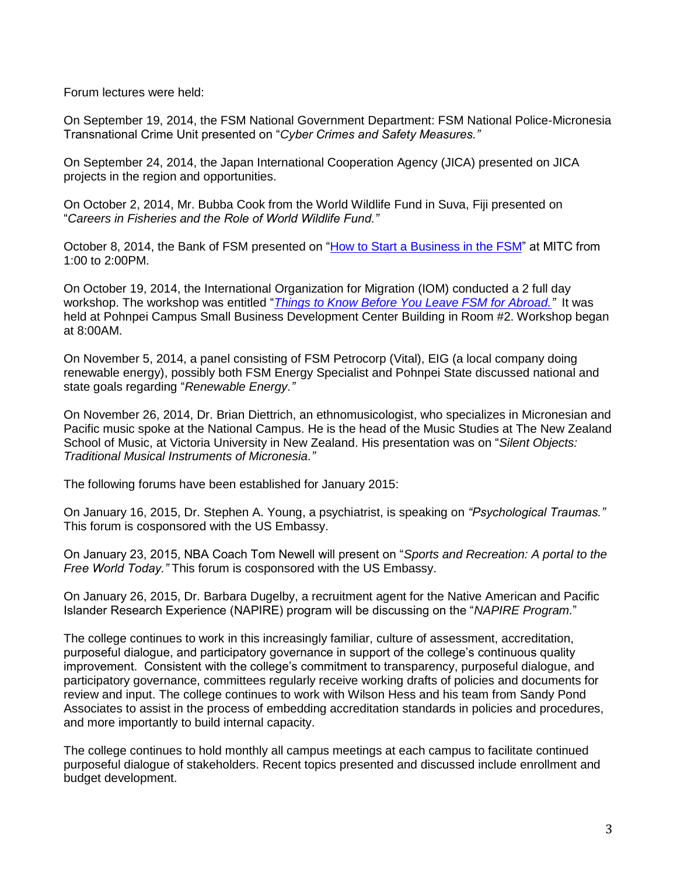Forum lectures were held:

On September 19, 2014, the FSM National Government Department: FSM National Police-Micronesia Transnational Crime Unit presented on "*Cyber Crimes and Safety Measures."*

On September 24, 2014, the Japan International Cooperation Agency (JICA) presented on JICA projects in the region and opportunities.

On October 2, 2014, Mr. Bubba Cook from the World Wildlife Fund in Suva, Fiji presented on "*Careers in Fisheries and the Role of World Wildlife Fund."*

October 8, 2014, the Bank of FSM presented on ["How to Start a Business in the FSM"](http://www.comfsm.fm/myShark/news/item=1054/mod=21:09:02) at MITC from 1:00 to 2:00PM.

On October 19, 2014, the International Organization for Migration (IOM) conducted a 2 full day workshop. The workshop was entitled "*[Things to Know Before You Leave FSM for Abroad.](http://www.comfsm.fm/myShark/news/item=1056/mod=19:34:08)"* It was held at Pohnpei Campus Small Business Development Center Building in Room #2. Workshop began at 8:00AM.

On November 5, 2014, a panel consisting of FSM Petrocorp (Vital), EIG (a local company doing renewable energy), possibly both FSM Energy Specialist and Pohnpei State discussed national and state goals regarding "*Renewable Energy."*

On November 26, 2014, Dr. Brian Diettrich, an ethnomusicologist, who specializes in Micronesian and Pacific music spoke at the National Campus. He is the head of the Music Studies at The New Zealand School of Music, at Victoria University in New Zealand. His presentation was on "*Silent Objects: Traditional Musical Instruments of Micronesia."*

The following forums have been established for January 2015:

On January 16, 2015, Dr. Stephen A. Young, a psychiatrist, is speaking on *"Psychological Traumas."* This forum is cosponsored with the US Embassy.

On January 23, 2015, NBA Coach Tom Newell will present on "*Sports and Recreation: A portal to the Free World Today."* This forum is cosponsored with the US Embassy.

On January 26, 2015, Dr. Barbara Dugelby, a recruitment agent for the Native American and Pacific Islander Research Experience (NAPIRE) program will be discussing on the "*NAPIRE Program.*"

The college continues to work in this increasingly familiar, culture of assessment, accreditation, purposeful dialogue, and participatory governance in support of the college's continuous quality improvement. Consistent with the college's commitment to transparency, purposeful dialogue, and participatory governance, committees regularly receive working drafts of policies and documents for review and input. The college continues to work with Wilson Hess and his team from Sandy Pond Associates to assist in the process of embedding accreditation standards in policies and procedures, and more importantly to build internal capacity.

The college continues to hold monthly all campus meetings at each campus to facilitate continued purposeful dialogue of stakeholders. Recent topics presented and discussed include enrollment and budget development.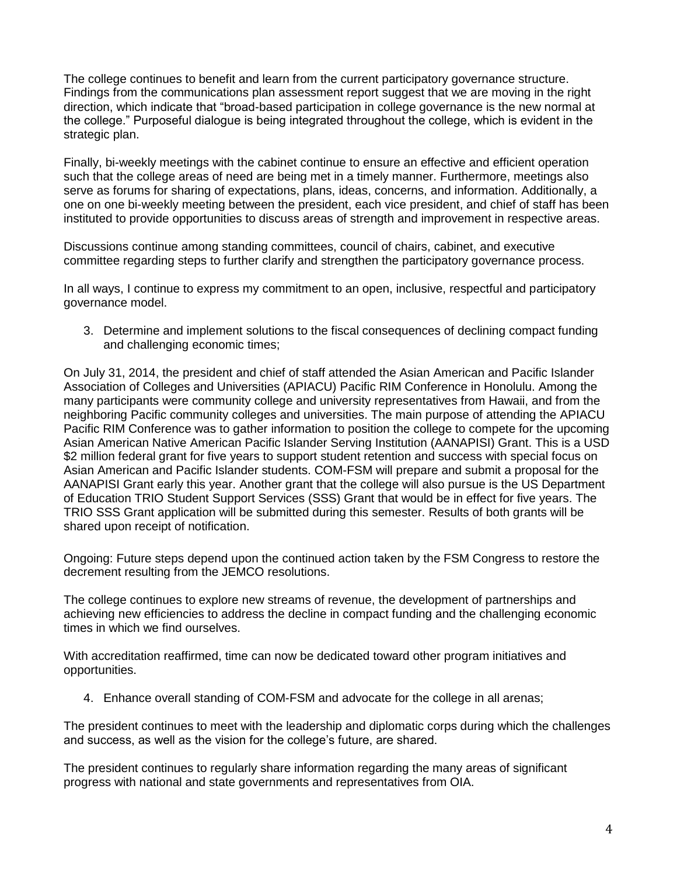The college continues to benefit and learn from the current participatory governance structure. Findings from the communications plan assessment report suggest that we are moving in the right direction, which indicate that "broad-based participation in college governance is the new normal at the college." Purposeful dialogue is being integrated throughout the college, which is evident in the strategic plan.

Finally, bi-weekly meetings with the cabinet continue to ensure an effective and efficient operation such that the college areas of need are being met in a timely manner. Furthermore, meetings also serve as forums for sharing of expectations, plans, ideas, concerns, and information. Additionally, a one on one bi-weekly meeting between the president, each vice president, and chief of staff has been instituted to provide opportunities to discuss areas of strength and improvement in respective areas.

Discussions continue among standing committees, council of chairs, cabinet, and executive committee regarding steps to further clarify and strengthen the participatory governance process.

In all ways, I continue to express my commitment to an open, inclusive, respectful and participatory governance model.

3. Determine and implement solutions to the fiscal consequences of declining compact funding and challenging economic times;

On July 31, 2014, the president and chief of staff attended the Asian American and Pacific Islander Association of Colleges and Universities (APIACU) Pacific RIM Conference in Honolulu. Among the many participants were community college and university representatives from Hawaii, and from the neighboring Pacific community colleges and universities. The main purpose of attending the APIACU Pacific RIM Conference was to gather information to position the college to compete for the upcoming Asian American Native American Pacific Islander Serving Institution (AANAPISI) Grant. This is a USD \$2 million federal grant for five years to support student retention and success with special focus on Asian American and Pacific Islander students. COM-FSM will prepare and submit a proposal for the AANAPISI Grant early this year. Another grant that the college will also pursue is the US Department of Education TRIO Student Support Services (SSS) Grant that would be in effect for five years. The TRIO SSS Grant application will be submitted during this semester. Results of both grants will be shared upon receipt of notification.

Ongoing: Future steps depend upon the continued action taken by the FSM Congress to restore the decrement resulting from the JEMCO resolutions.

The college continues to explore new streams of revenue, the development of partnerships and achieving new efficiencies to address the decline in compact funding and the challenging economic times in which we find ourselves.

With accreditation reaffirmed, time can now be dedicated toward other program initiatives and opportunities.

4. Enhance overall standing of COM-FSM and advocate for the college in all arenas;

The president continues to meet with the leadership and diplomatic corps during which the challenges and success, as well as the vision for the college's future, are shared.

The president continues to regularly share information regarding the many areas of significant progress with national and state governments and representatives from OIA.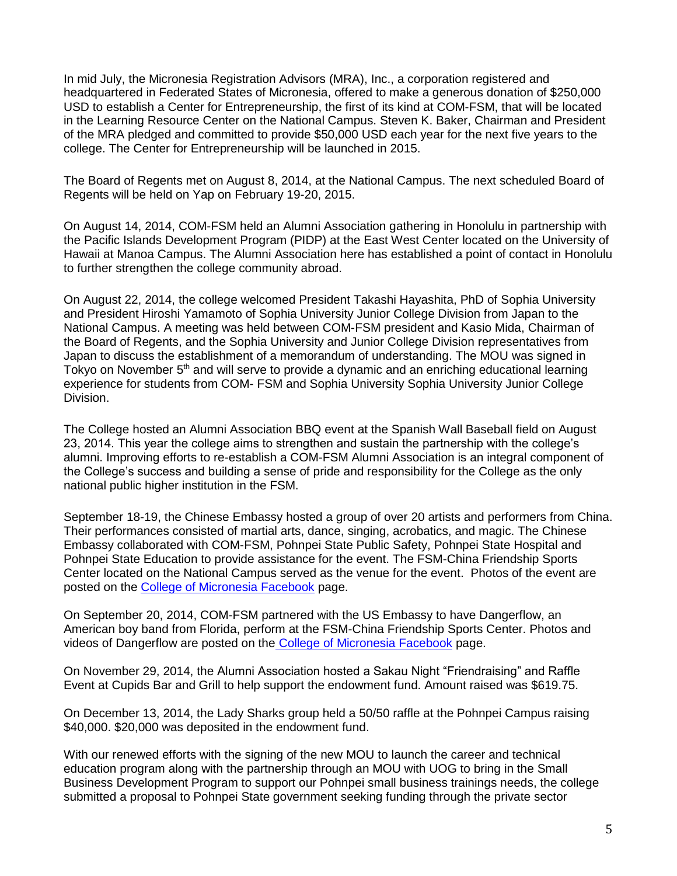In mid July, the Micronesia Registration Advisors (MRA), Inc., a corporation registered and headquartered in Federated States of Micronesia, offered to make a generous donation of \$250,000 USD to establish a Center for Entrepreneurship, the first of its kind at COM-FSM, that will be located in the Learning Resource Center on the National Campus. Steven K. Baker, Chairman and President of the MRA pledged and committed to provide \$50,000 USD each year for the next five years to the college. The Center for Entrepreneurship will be launched in 2015.

The Board of Regents met on August 8, 2014, at the National Campus. The next scheduled Board of Regents will be held on Yap on February 19-20, 2015.

On August 14, 2014, COM-FSM held an Alumni Association gathering in Honolulu in partnership with the Pacific Islands Development Program (PIDP) at the East West Center located on the University of Hawaii at Manoa Campus. The Alumni Association here has established a point of contact in Honolulu to further strengthen the college community abroad.

On August 22, 2014, the college welcomed President Takashi Hayashita, PhD of Sophia University and President Hiroshi Yamamoto of Sophia University Junior College Division from Japan to the National Campus. A meeting was held between COM-FSM president and Kasio Mida, Chairman of the Board of Regents, and the Sophia University and Junior College Division representatives from Japan to discuss the establishment of a memorandum of understanding. The MOU was signed in Tokyo on November 5<sup>th</sup> and will serve to provide a dynamic and an enriching educational learning experience for students from COM- FSM and Sophia University Sophia University Junior College Division.

The College hosted an Alumni Association BBQ event at the Spanish Wall Baseball field on August 23, 2014. This year the college aims to strengthen and sustain the partnership with the college's alumni. Improving efforts to re-establish a COM-FSM Alumni Association is an integral component of the College's success and building a sense of pride and responsibility for the College as the only national public higher institution in the FSM.

September 18-19, the Chinese Embassy hosted a group of over 20 artists and performers from China. Their performances consisted of martial arts, dance, singing, acrobatics, and magic. The Chinese Embassy collaborated with COM-FSM, Pohnpei State Public Safety, Pohnpei State Hospital and Pohnpei State Education to provide assistance for the event. The FSM-China Friendship Sports Center located on the National Campus served as the venue for the event. Photos of the event are posted on the [College of Micronesia Facebook](https://www.facebook.com/FSMcollege) page.

On September 20, 2014, COM-FSM partnered with the US Embassy to have Dangerflow, an American boy band from Florida, perform at the FSM-China Friendship Sports Center. Photos and videos of Dangerflow are posted on the [College of Micronesia Facebook](https://www.facebook.com/FSMcollege) page.

On November 29, 2014, the Alumni Association hosted a Sakau Night "Friendraising" and Raffle Event at Cupids Bar and Grill to help support the endowment fund. Amount raised was \$619.75.

On December 13, 2014, the Lady Sharks group held a 50/50 raffle at the Pohnpei Campus raising \$40,000. \$20,000 was deposited in the endowment fund.

With our renewed efforts with the signing of the new MOU to launch the career and technical education program along with the partnership through an MOU with UOG to bring in the Small Business Development Program to support our Pohnpei small business trainings needs, the college submitted a proposal to Pohnpei State government seeking funding through the private sector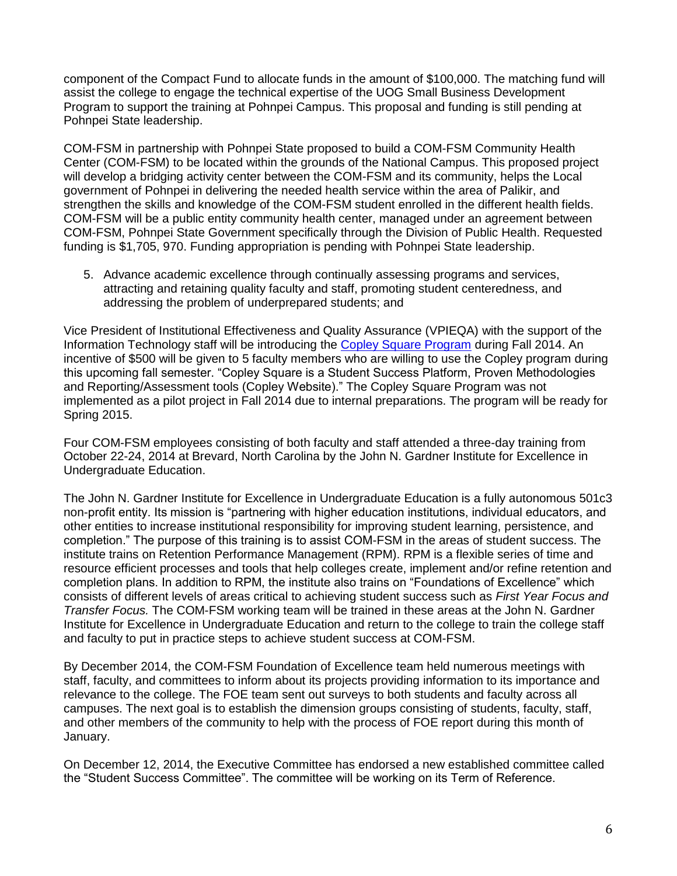component of the Compact Fund to allocate funds in the amount of \$100,000. The matching fund will assist the college to engage the technical expertise of the UOG Small Business Development Program to support the training at Pohnpei Campus. This proposal and funding is still pending at Pohnpei State leadership.

COM-FSM in partnership with Pohnpei State proposed to build a COM-FSM Community Health Center (COM-FSM) to be located within the grounds of the National Campus. This proposed project will develop a bridging activity center between the COM-FSM and its community, helps the Local government of Pohnpei in delivering the needed health service within the area of Palikir, and strengthen the skills and knowledge of the COM-FSM student enrolled in the different health fields. COM-FSM will be a public entity community health center, managed under an agreement between COM-FSM, Pohnpei State Government specifically through the Division of Public Health. Requested funding is \$1,705, 970. Funding appropriation is pending with Pohnpei State leadership.

5. Advance academic excellence through continually assessing programs and services, attracting and retaining quality faculty and staff, promoting student centeredness, and addressing the problem of underprepared students; and

Vice President of Institutional Effectiveness and Quality Assurance (VPIEQA) with the support of the Information Technology staff will be introducing the [Copley Square Program](http://copleysystems.com/overview/) during Fall 2014. An incentive of \$500 will be given to 5 faculty members who are willing to use the Copley program during this upcoming fall semester. "Copley Square is a Student Success Platform, Proven Methodologies and Reporting/Assessment tools (Copley Website)." The Copley Square Program was not implemented as a pilot project in Fall 2014 due to internal preparations. The program will be ready for Spring 2015.

Four COM-FSM employees consisting of both faculty and staff attended a three-day training from October 22-24, 2014 at Brevard, North Carolina by the John N. Gardner Institute for Excellence in Undergraduate Education.

The John N. Gardner Institute for Excellence in Undergraduate Education is a fully autonomous 501c3 non-profit entity. Its mission is "partnering with higher education institutions, individual educators, and other entities to increase institutional responsibility for improving student learning, persistence, and completion." The purpose of this training is to assist COM-FSM in the areas of student success. The institute trains on Retention Performance Management (RPM). RPM is a flexible series of time and resource efficient processes and tools that help colleges create, implement and/or refine retention and completion plans. In addition to RPM, the institute also trains on "Foundations of Excellence" which consists of different levels of areas critical to achieving student success such as *First Year Focus and Transfer Focus.* The COM-FSM working team will be trained in these areas at the John N. Gardner Institute for Excellence in Undergraduate Education and return to the college to train the college staff and faculty to put in practice steps to achieve student success at COM-FSM.

By December 2014, the COM-FSM Foundation of Excellence team held numerous meetings with staff, faculty, and committees to inform about its projects providing information to its importance and relevance to the college. The FOE team sent out surveys to both students and faculty across all campuses. The next goal is to establish the dimension groups consisting of students, faculty, staff, and other members of the community to help with the process of FOE report during this month of January.

On December 12, 2014, the Executive Committee has endorsed a new established committee called the "Student Success Committee". The committee will be working on its Term of Reference.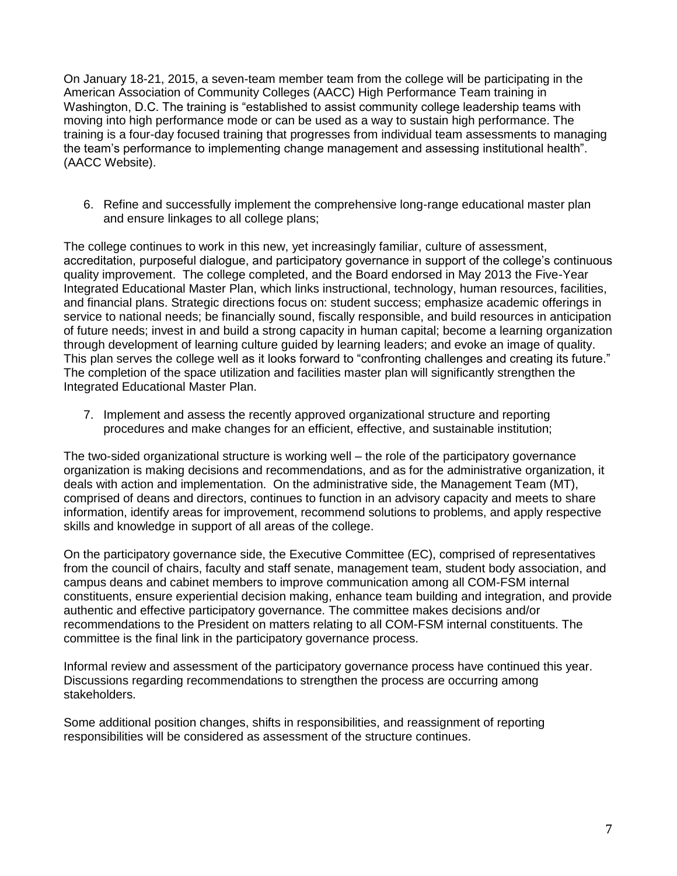On January 18-21, 2015, a seven-team member team from the college will be participating in the American Association of Community Colleges (AACC) High Performance Team training in Washington, D.C. The training is "established to assist community college leadership teams with moving into high performance mode or can be used as a way to sustain high performance. The training is a four-day focused training that progresses from individual team assessments to managing the team's performance to implementing change management and assessing institutional health". (AACC Website).

6. Refine and successfully implement the comprehensive long-range educational master plan and ensure linkages to all college plans;

The college continues to work in this new, yet increasingly familiar, culture of assessment, accreditation, purposeful dialogue, and participatory governance in support of the college's continuous quality improvement. The college completed, and the Board endorsed in May 2013 the Five-Year Integrated Educational Master Plan, which links instructional, technology, human resources, facilities, and financial plans. Strategic directions focus on: student success; emphasize academic offerings in service to national needs; be financially sound, fiscally responsible, and build resources in anticipation of future needs; invest in and build a strong capacity in human capital; become a learning organization through development of learning culture guided by learning leaders; and evoke an image of quality. This plan serves the college well as it looks forward to "confronting challenges and creating its future." The completion of the space utilization and facilities master plan will significantly strengthen the Integrated Educational Master Plan.

7. Implement and assess the recently approved organizational structure and reporting procedures and make changes for an efficient, effective, and sustainable institution;

The two-sided organizational structure is working well – the role of the participatory governance organization is making decisions and recommendations, and as for the administrative organization, it deals with action and implementation. On the administrative side, the Management Team (MT), comprised of deans and directors, continues to function in an advisory capacity and meets to share information, identify areas for improvement, recommend solutions to problems, and apply respective skills and knowledge in support of all areas of the college.

On the participatory governance side, the Executive Committee (EC), comprised of representatives from the council of chairs, faculty and staff senate, management team, student body association, and campus deans and cabinet members to improve communication among all COM-FSM internal constituents, ensure experiential decision making, enhance team building and integration, and provide authentic and effective participatory governance. The committee makes decisions and/or recommendations to the President on matters relating to all COM-FSM internal constituents. The committee is the final link in the participatory governance process.

Informal review and assessment of the participatory governance process have continued this year. Discussions regarding recommendations to strengthen the process are occurring among stakeholders.

Some additional position changes, shifts in responsibilities, and reassignment of reporting responsibilities will be considered as assessment of the structure continues.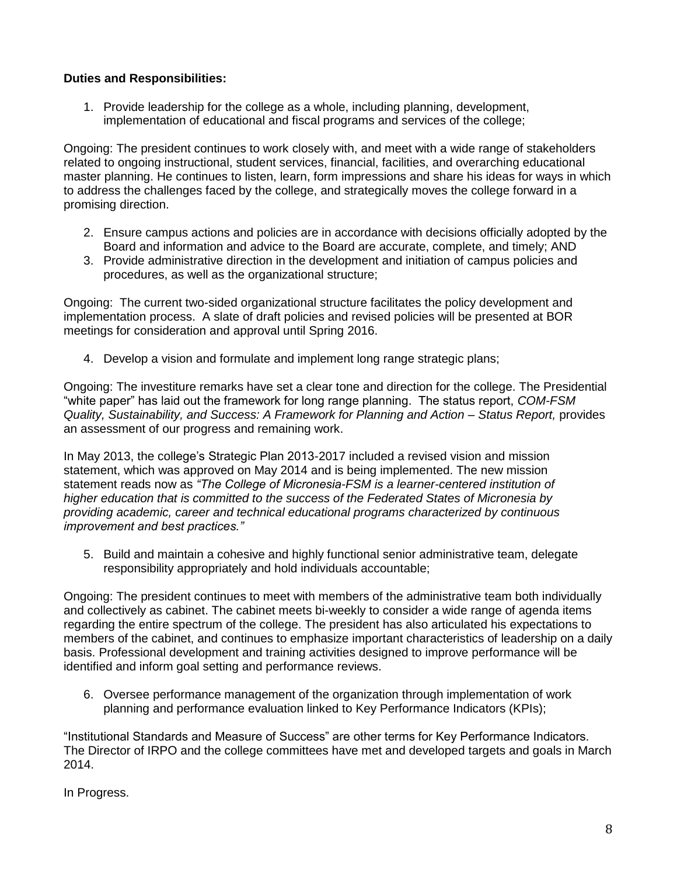## **Duties and Responsibilities:**

1. Provide leadership for the college as a whole, including planning, development, implementation of educational and fiscal programs and services of the college;

Ongoing: The president continues to work closely with, and meet with a wide range of stakeholders related to ongoing instructional, student services, financial, facilities, and overarching educational master planning. He continues to listen, learn, form impressions and share his ideas for ways in which to address the challenges faced by the college, and strategically moves the college forward in a promising direction.

- 2. Ensure campus actions and policies are in accordance with decisions officially adopted by the Board and information and advice to the Board are accurate, complete, and timely; AND
- 3. Provide administrative direction in the development and initiation of campus policies and procedures, as well as the organizational structure;

Ongoing: The current two-sided organizational structure facilitates the policy development and implementation process. A slate of draft policies and revised policies will be presented at BOR meetings for consideration and approval until Spring 2016.

4. Develop a vision and formulate and implement long range strategic plans;

Ongoing: The investiture remarks have set a clear tone and direction for the college. The Presidential "white paper" has laid out the framework for long range planning. The status report, *COM-FSM Quality, Sustainability, and Success: A Framework for Planning and Action – Status Report,* provides an assessment of our progress and remaining work.

In May 2013, the college's Strategic Plan 2013-2017 included a revised vision and mission statement, which was approved on May 2014 and is being implemented. The new mission statement reads now as *"The College of Micronesia-FSM is a learner-centered institution of higher education that is committed to the success of the Federated States of Micronesia by providing academic, career and technical educational programs characterized by continuous improvement and best practices."*

5. Build and maintain a cohesive and highly functional senior administrative team, delegate responsibility appropriately and hold individuals accountable;

Ongoing: The president continues to meet with members of the administrative team both individually and collectively as cabinet. The cabinet meets bi-weekly to consider a wide range of agenda items regarding the entire spectrum of the college. The president has also articulated his expectations to members of the cabinet, and continues to emphasize important characteristics of leadership on a daily basis. Professional development and training activities designed to improve performance will be identified and inform goal setting and performance reviews.

6. Oversee performance management of the organization through implementation of work planning and performance evaluation linked to Key Performance Indicators (KPIs);

"Institutional Standards and Measure of Success" are other terms for Key Performance Indicators. The Director of IRPO and the college committees have met and developed targets and goals in March 2014.

In Progress.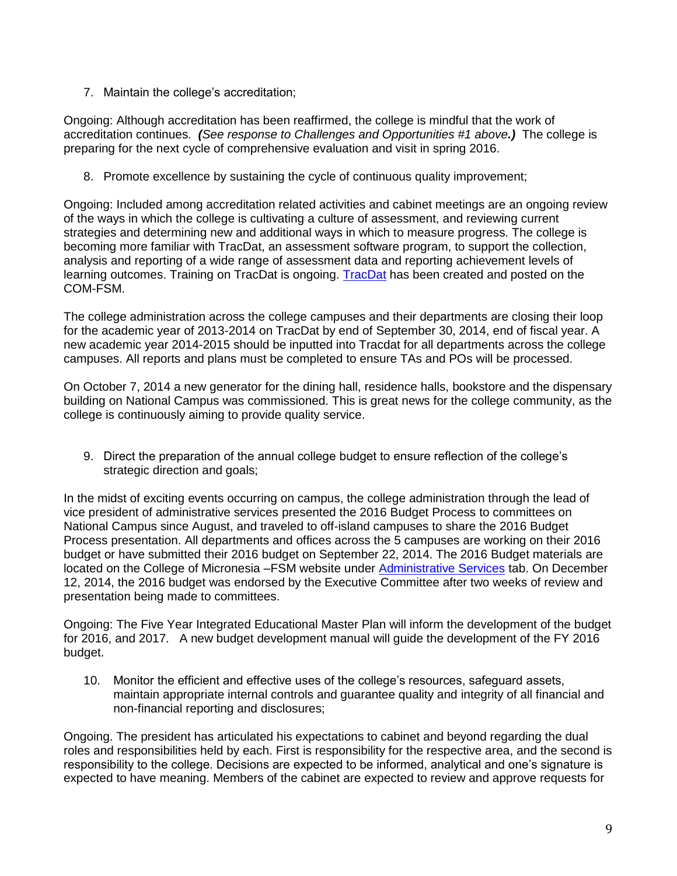7. Maintain the college's accreditation;

Ongoing: Although accreditation has been reaffirmed, the college is mindful that the work of accreditation continues. *(See response to Challenges and Opportunities #1 above.)* The college is preparing for the next cycle of comprehensive evaluation and visit in spring 2016.

8. Promote excellence by sustaining the cycle of continuous quality improvement;

Ongoing: Included among accreditation related activities and cabinet meetings are an ongoing review of the ways in which the college is cultivating a culture of assessment, and reviewing current strategies and determining new and additional ways in which to measure progress. The college is becoming more familiar with TracDat, an assessment software program, to support the collection, analysis and reporting of a wide range of assessment data and reporting achievement levels of learning outcomes. Training on TracDat is ongoing. [TracDat](https://comfsm.tracdat.com/tracdat/faces/login.jsp) has been created and posted on the COM-FSM.

The college administration across the college campuses and their departments are closing their loop for the academic year of 2013-2014 on TracDat by end of September 30, 2014, end of fiscal year. A new academic year 2014-2015 should be inputted into Tracdat for all departments across the college campuses. All reports and plans must be completed to ensure TAs and POs will be processed.

On October 7, 2014 a new generator for the dining hall, residence halls, bookstore and the dispensary building on National Campus was commissioned. This is great news for the college community, as the college is continuously aiming to provide quality service.

9. Direct the preparation of the annual college budget to ensure reflection of the college's strategic direction and goals;

In the midst of exciting events occurring on campus, the college administration through the lead of vice president of administrative services presented the 2016 Budget Process to committees on National Campus since August, and traveled to off-island campuses to share the 2016 Budget Process presentation. All departments and offices across the 5 campuses are working on their 2016 budget or have submitted their 2016 budget on September 22, 2014. The 2016 Budget materials are located on the College of Micronesia –FSM website under [Administrative Services](http://www.comfsm.fm/?q=2016-Budget) tab. On December 12, 2014, the 2016 budget was endorsed by the Executive Committee after two weeks of review and presentation being made to committees.

Ongoing: The Five Year Integrated Educational Master Plan will inform the development of the budget for 2016, and 2017. A new budget development manual will guide the development of the FY 2016 budget.

10. Monitor the efficient and effective uses of the college's resources, safeguard assets, maintain appropriate internal controls and guarantee quality and integrity of all financial and non-financial reporting and disclosures;

Ongoing. The president has articulated his expectations to cabinet and beyond regarding the dual roles and responsibilities held by each. First is responsibility for the respective area, and the second is responsibility to the college. Decisions are expected to be informed, analytical and one's signature is expected to have meaning. Members of the cabinet are expected to review and approve requests for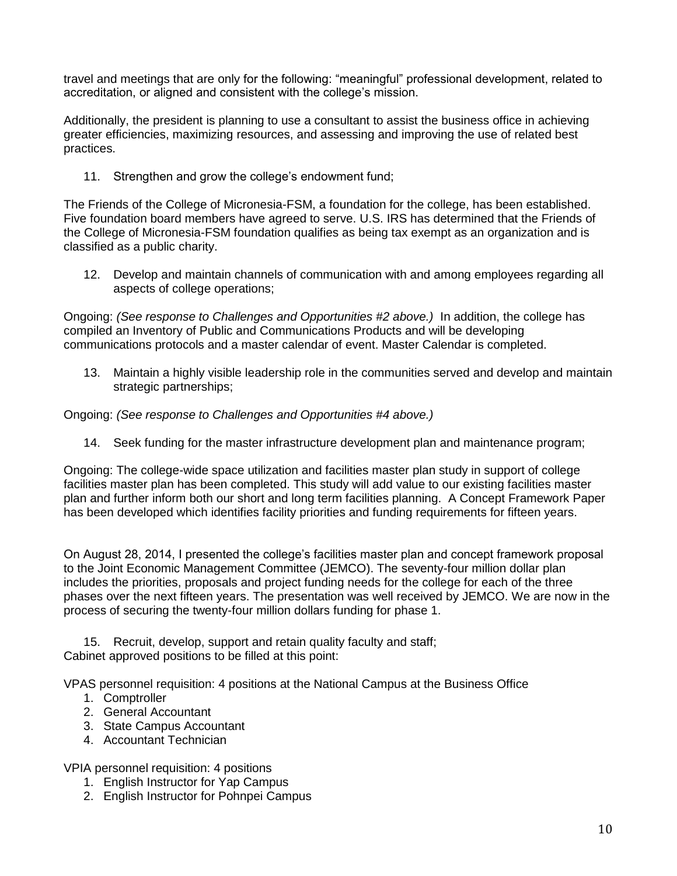travel and meetings that are only for the following: "meaningful" professional development, related to accreditation, or aligned and consistent with the college's mission.

Additionally, the president is planning to use a consultant to assist the business office in achieving greater efficiencies, maximizing resources, and assessing and improving the use of related best practices.

11. Strengthen and grow the college's endowment fund;

The Friends of the College of Micronesia-FSM, a foundation for the college, has been established. Five foundation board members have agreed to serve. U.S. IRS has determined that the Friends of the College of Micronesia-FSM foundation qualifies as being tax exempt as an organization and is classified as a public charity.

12. Develop and maintain channels of communication with and among employees regarding all aspects of college operations;

Ongoing: *(See response to Challenges and Opportunities #2 above.)* In addition, the college has compiled an Inventory of Public and Communications Products and will be developing communications protocols and a master calendar of event. Master Calendar is completed.

13. Maintain a highly visible leadership role in the communities served and develop and maintain strategic partnerships;

Ongoing: *(See response to Challenges and Opportunities #4 above.)*

14. Seek funding for the master infrastructure development plan and maintenance program;

Ongoing: The college-wide space utilization and facilities master plan study in support of college facilities master plan has been completed. This study will add value to our existing facilities master plan and further inform both our short and long term facilities planning. A Concept Framework Paper has been developed which identifies facility priorities and funding requirements for fifteen years.

On August 28, 2014, I presented the college's facilities master plan and concept framework proposal to the Joint Economic Management Committee (JEMCO). The seventy-four million dollar plan includes the priorities, proposals and project funding needs for the college for each of the three phases over the next fifteen years. The presentation was well received by JEMCO. We are now in the process of securing the twenty-four million dollars funding for phase 1.

15. Recruit, develop, support and retain quality faculty and staff; Cabinet approved positions to be filled at this point:

VPAS personnel requisition: 4 positions at the National Campus at the Business Office

- 1. Comptroller
- 2. General Accountant
- 3. State Campus Accountant
- 4. Accountant Technician

VPIA personnel requisition: 4 positions

- 1. English Instructor for Yap Campus
- 2. English Instructor for Pohnpei Campus